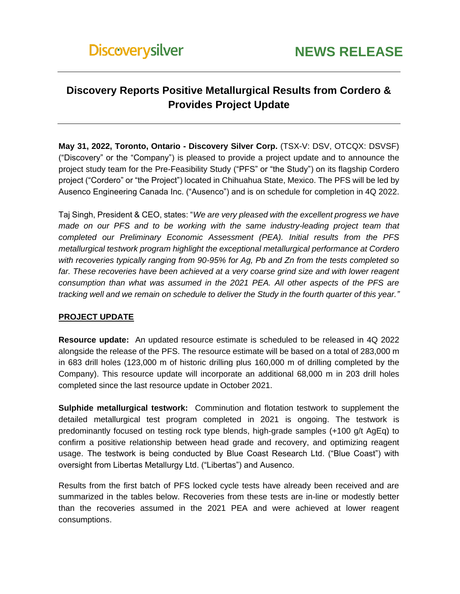# **Discovery Reports Positive Metallurgical Results from Cordero & Provides Project Update**

**May 31, 2022, Toronto, Ontario - Discovery Silver Corp.** (TSX-V: DSV, OTCQX: DSVSF) ("Discovery" or the "Company") is pleased to provide a project update and to announce the project study team for the Pre-Feasibility Study ("PFS" or "the Study") on its flagship Cordero project ("Cordero" or "the Project") located in Chihuahua State, Mexico. The PFS will be led by Ausenco Engineering Canada Inc. ("Ausenco") and is on schedule for completion in 4Q 2022.

Taj Singh, President & CEO, states: "*We are very pleased with the excellent progress we have made on our PFS and to be working with the same industry-leading project team that completed our Preliminary Economic Assessment (PEA). Initial results from the PFS metallurgical testwork program highlight the exceptional metallurgical performance at Cordero with recoveries typically ranging from 90-95% for Ag, Pb and Zn from the tests completed so*  far. These recoveries have been achieved at a very coarse grind size and with lower reagent *consumption than what was assumed in the 2021 PEA. All other aspects of the PFS are tracking well and we remain on schedule to deliver the Study in the fourth quarter of this year."* 

# **PROJECT UPDATE**

**Resource update:** An updated resource estimate is scheduled to be released in 4Q 2022 alongside the release of the PFS. The resource estimate will be based on a total of 283,000 m in 683 drill holes (123,000 m of historic drilling plus 160,000 m of drilling completed by the Company). This resource update will incorporate an additional 68,000 m in 203 drill holes completed since the last resource update in October 2021.

**Sulphide metallurgical testwork:** Comminution and flotation testwork to supplement the detailed metallurgical test program completed in 2021 is ongoing. The testwork is predominantly focused on testing rock type blends, high-grade samples (+100 g/t AgEq) to confirm a positive relationship between head grade and recovery, and optimizing reagent usage. The testwork is being conducted by Blue Coast Research Ltd. ("Blue Coast") with oversight from Libertas Metallurgy Ltd. ("Libertas") and Ausenco.

Results from the first batch of PFS locked cycle tests have already been received and are summarized in the tables below. Recoveries from these tests are in-line or modestly better than the recoveries assumed in the 2021 PEA and were achieved at lower reagent consumptions.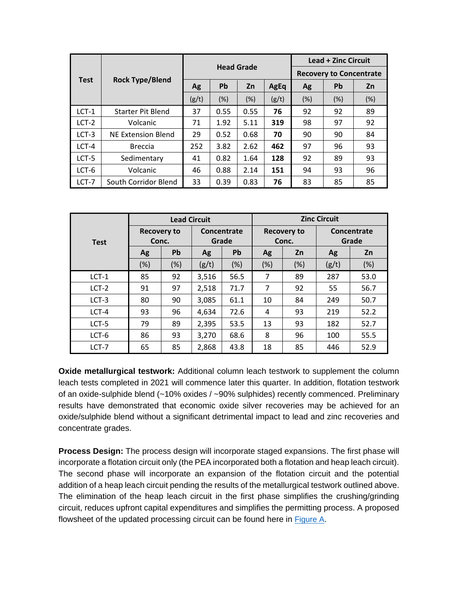|             |                          | <b>Head Grade</b> |      |        |       | <b>Lead + Zinc Circuit</b>     |           |     |
|-------------|--------------------------|-------------------|------|--------|-------|--------------------------------|-----------|-----|
| <b>Test</b> | <b>Rock Type/Blend</b>   |                   |      |        |       | <b>Recovery to Concentrate</b> |           |     |
|             |                          | <b>Ag</b>         | Pb   | Zn     | AgEq  | <b>Ag</b>                      | <b>Pb</b> | Zn  |
|             |                          | (g/t)             | (%)  | $(\%)$ | (g/t) | (%)                            | (%)       | (%) |
| $LCT-1$     | <b>Starter Pit Blend</b> | 37                | 0.55 | 0.55   | 76    | 92                             | 92        | 89  |
| LCT-2       | Volcanic                 | 71                | 1.92 | 5.11   | 319   | 98                             | 97        | 92  |
| $LCT-3$     | NE Extension Blend       | 29                | 0.52 | 0.68   | 70    | 90                             | 90        | 84  |
| $LCT-4$     | <b>Breccia</b>           | 252               | 3.82 | 2.62   | 462   | 97                             | 96        | 93  |
| $LCT-5$     | Sedimentary              | 41                | 0.82 | 1.64   | 128   | 92                             | 89        | 93  |
| LCT-6       | Volcanic                 | 46                | 0.88 | 2.14   | 151   | 94                             | 93        | 96  |
| LCT-7       | South Corridor Blend     | 33                | 0.39 | 0.83   | 76    | 83                             | 85        | 85  |

|             | <b>Lead Circuit</b>         |     |                      |           | <b>Zinc Circuit</b>         |     |                      |      |
|-------------|-----------------------------|-----|----------------------|-----------|-----------------------------|-----|----------------------|------|
| <b>Test</b> | <b>Recovery to</b><br>Conc. |     | Concentrate<br>Grade |           | <b>Recovery to</b><br>Conc. |     | Concentrate<br>Grade |      |
|             | Ag                          | Pb  | Ag                   | <b>Pb</b> | Ag                          | Zn  | Ag                   | Zn   |
|             | (%)                         | (%) | (g/t)                | (%)       | (%)                         | (%) | (g/t)                | (%)  |
| $LCT-1$     | 85                          | 92  | 3,516                | 56.5      | 7                           | 89  | 287                  | 53.0 |
| $LCT-2$     | 91                          | 97  | 2,518                | 71.7      | 7                           | 92  | 55                   | 56.7 |
| $LCT-3$     | 80                          | 90  | 3,085                | 61.1      | 10                          | 84  | 249                  | 50.7 |
| $LCT-4$     | 93                          | 96  | 4,634                | 72.6      | 4                           | 93  | 219                  | 52.2 |
| LCT-5       | 79                          | 89  | 2,395                | 53.5      | 13                          | 93  | 182                  | 52.7 |
| LCT-6       | 86                          | 93  | 3,270                | 68.6      | 8                           | 96  | 100                  | 55.5 |
| LCT-7       | 65                          | 85  | 2,868                | 43.8      | 18                          | 85  | 446                  | 52.9 |

**Oxide metallurgical testwork:** Additional column leach testwork to supplement the column leach tests completed in 2021 will commence later this quarter. In addition, flotation testwork of an oxide-sulphide blend (~10% oxides / ~90% sulphides) recently commenced. Preliminary results have demonstrated that economic oxide silver recoveries may be achieved for an oxide/sulphide blend without a significant detrimental impact to lead and zinc recoveries and concentrate grades.

**Process Design:** The process design will incorporate staged expansions. The first phase will incorporate a flotation circuit only (the PEA incorporated both a flotation and heap leach circuit). The second phase will incorporate an expansion of the flotation circuit and the potential addition of a heap leach circuit pending the results of the metallurgical testwork outlined above. The elimination of the heap leach circuit in the first phase simplifies the crushing/grinding circuit, reduces upfront capital expenditures and simplifies the permitting process. A proposed flowsheet of the updated processing circuit can be found here in **[Figure A](https://discoverysilver.com/site/assets/files/5187/figure_a.pdf)**.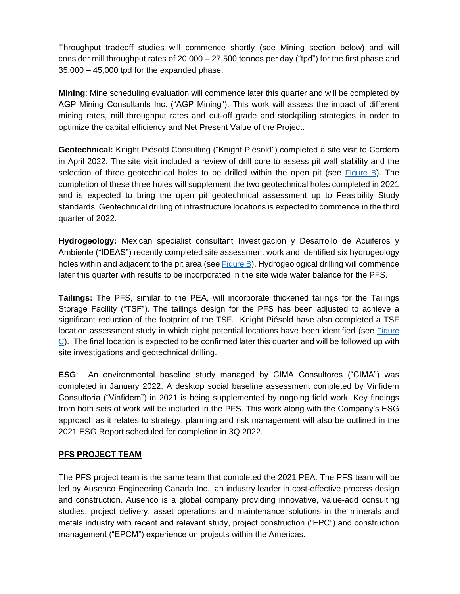Throughput tradeoff studies will commence shortly (see Mining section below) and will consider mill throughput rates of 20,000 – 27,500 tonnes per day ("tpd") for the first phase and  $35,000 - 45,000$  tpd for the expanded phase.

**Mining**: Mine scheduling evaluation will commence later this quarter and will be completed by AGP Mining Consultants Inc. ("AGP Mining"). This work will assess the impact of different mining rates, mill throughput rates and cut-off grade and stockpiling strategies in order to optimize the capital efficiency and Net Present Value of the Project.

**Geotechnical:** Knight Piésold Consulting ("Knight Piésold") completed a site visit to Cordero in April 2022. The site visit included a review of drill core to assess pit wall stability and the selection of three geotechnical holes to be drilled within the open pit (see [Figure B](https://discoverysilver.com/site/assets/files/5187/figure_b.pdf)). The completion of these three holes will supplement the two geotechnical holes completed in 2021 and is expected to bring the open pit geotechnical assessment up to Feasibility Study standards. Geotechnical drilling of infrastructure locations is expected to commence in the third quarter of 2022.

**Hydrogeology:** Mexican specialist consultant Investigacion y Desarrollo de Acuiferos y Ambiente ("IDEAS") recently completed site assessment work and identified six hydrogeology holes within and adjacent to the pit area (see [Figure B](https://discoverysilver.com/site/assets/files/5187/figure_b.pdf)). Hydrogeological drilling will commence later this quarter with results to be incorporated in the site wide water balance for the PFS.

**Tailings:** The PFS, similar to the PEA, will incorporate thickened tailings for the Tailings Storage Facility ("TSF"). The tailings design for the PFS has been adjusted to achieve a significant reduction of the footprint of the TSF. Knight Piésold have also completed a TSF location assessment study in which eight potential locations have been identified (see [Figure](https://discoverysilver.com/site/assets/files/5187/figure_c.pdf)   $\degree$ [C](https://discoverysilver.com/site/assets/files/5187/figure_c.pdf)). The final location is expected to be confirmed later this quarter and will be followed up with site investigations and geotechnical drilling.

**ESG**: An environmental baseline study managed by CIMA Consultores ("CIMA") was completed in January 2022. A desktop social baseline assessment completed by Vinfidem Consultoria ("Vinfidem") in 2021 is being supplemented by ongoing field work. Key findings from both sets of work will be included in the PFS. This work along with the Company's ESG approach as it relates to strategy, planning and risk management will also be outlined in the 2021 ESG Report scheduled for completion in 3Q 2022.

### **PFS PROJECT TEAM**

The PFS project team is the same team that completed the 2021 PEA. The PFS team will be led by Ausenco Engineering Canada Inc., an industry leader in cost-effective process design and construction. Ausenco is a global company providing innovative, value-add consulting studies, project delivery, asset operations and maintenance solutions in the minerals and metals industry with recent and relevant study, project construction ("EPC") and construction management ("EPCM") experience on projects within the Americas.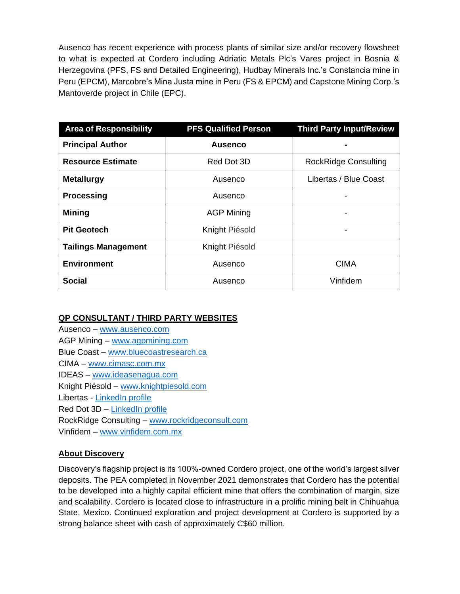Ausenco has recent experience with process plants of similar size and/or recovery flowsheet to what is expected at Cordero including Adriatic Metals Plc's Vares project in Bosnia & Herzegovina (PFS, FS and Detailed Engineering), Hudbay Minerals Inc.'s Constancia mine in Peru (EPCM), Marcobre's Mina Justa mine in Peru (FS & EPCM) and Capstone Mining Corp.'s Mantoverde project in Chile (EPC).

| <b>Area of Responsibility</b> | <b>PFS Qualified Person</b> | <b>Third Party Input/Review</b> |  |  |
|-------------------------------|-----------------------------|---------------------------------|--|--|
| <b>Principal Author</b>       | <b>Ausenco</b>              | ۰                               |  |  |
| <b>Resource Estimate</b>      | Red Dot 3D                  | <b>RockRidge Consulting</b>     |  |  |
| <b>Metallurgy</b>             | Ausenco                     | Libertas / Blue Coast           |  |  |
| <b>Processing</b>             | Ausenco                     |                                 |  |  |
| <b>Mining</b>                 | <b>AGP Mining</b>           |                                 |  |  |
| <b>Pit Geotech</b>            | Knight Piésold              |                                 |  |  |
| <b>Tailings Management</b>    | Knight Piésold              |                                 |  |  |
| <b>Environment</b>            | Ausenco                     | <b>CIMA</b>                     |  |  |
| Social                        | Ausenco                     | Vinfidem                        |  |  |

# **QP CONSULTANT / THIRD PARTY WEBSITES**

Ausenco – [www.ausenco.com](http://www.ausenco.com/) AGP Mining – [www.agpmining.com](http://www.agpmining.com/) Blue Coast – [www.bluecoastresearch.ca](http://www.bluecoastresearch.ca/) CIMA – [www.cimasc.com.mx](http://www.cimasc.com.mx/) IDEAS – www.ideasenagua.com Knight Piésold – [www.knightpiesold.com](http://www.knightpiesold.com/) Libertas - [LinkedIn profile](https://www.linkedin.com/in/david-middleditch-58608a11/?originalSubdomain=ca) Red Dot 3D – [LinkedIn profile](https://www.linkedin.com/in/r-mohan-mo-srivastava-5b36aa7a/) RockRidge Consulting – [www.rockridgeconsult.com](http://www.rockridgeconsult.com/)

Vinfidem – [www.vinfidem.com.mx](http://www.vinfidem.com.mx/)

# **About Discovery**

Discovery's flagship project is its 100%-owned Cordero project, one of the world's largest silver deposits. The PEA completed in November 2021 demonstrates that Cordero has the potential to be developed into a highly capital efficient mine that offers the combination of margin, size and scalability. Cordero is located close to infrastructure in a prolific mining belt in Chihuahua State, Mexico. Continued exploration and project development at Cordero is supported by a strong balance sheet with cash of approximately C\$60 million.